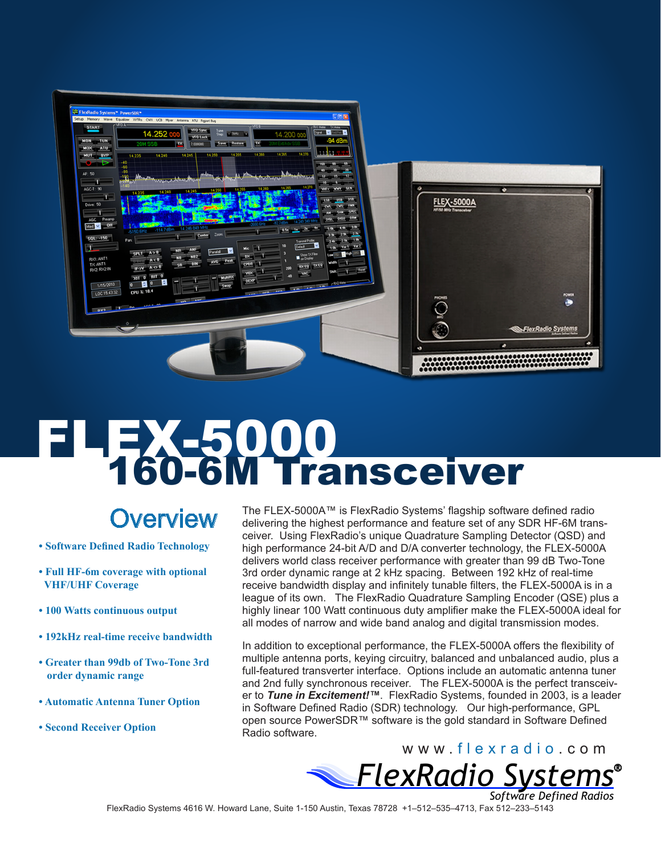|                       | ۰                                               |
|-----------------------|-------------------------------------------------|
| NF/50 MHz Transcelver |                                                 |
|                       |                                                 |
|                       |                                                 |
|                       |                                                 |
|                       |                                                 |
|                       |                                                 |
|                       | <b>POWER</b>                                    |
|                       | ۰                                               |
|                       |                                                 |
|                       | ElexRadio Systems<br><b>China School Avenue</b> |
| ¢                     | ۰                                               |
|                       | ۰<br><b>FLEX-5000A</b><br><b>PHONES</b><br>Ĉ    |

# **FLEXES000**<br>160-6M Transceiver

## **Overview**

- **Software Defined Radio Technology**
- **Full HF-6m coverage with optional VHF/UHF Coverage**
- **100 Watts continuous output**
- **192kHz real-time receive bandwidth**
- **Greater than 99db of Two-Tone 3rd order dynamic range**
- **Automatic Antenna Tuner Option**
- **Second Receiver Option**

The FLEX-5000A™ is FlexRadio Systems' flagship software defined radio delivering the highest performance and feature set of any SDR HF-6M transceiver. Using FlexRadio's unique Quadrature Sampling Detector (QSD) and high performance 24-bit A/D and D/A converter technology, the FLEX-5000A delivers world class receiver performance with greater than 99 dB Two-Tone 3rd order dynamic range at 2 kHz spacing. Between 192 kHz of real-time receive bandwidth display and infinitely tunable filters, the FLEX-5000A is in a league of its own. The FlexRadio Quadrature Sampling Encoder (QSE) plus a highly linear 100 Watt continuous duty amplifier make the FLEX-5000A ideal for all modes of narrow and wide band analog and digital transmission modes.

In addition to exceptional performance, the FLEX-5000A offers the flexibility of multiple antenna ports, keying circuitry, balanced and unbalanced audio, plus a full-featured transverter interface. Options include an automatic antenna tuner and 2nd fully synchronous receiver. The FLEX-5000A is the perfect transceiver to *Tune in Excitement!™*. FlexRadio Systems, founded in 2003, is a leader in Software Defined Radio (SDR) technology. Our high-performance, GPL open source PowerSDR™ software is the gold standard in Software Defined Radio software.



FlexRadio Systems 4616 W. Howard Lane, Suite 1-150 Austin, Texas 78728 +1–512–535–4713, Fax 512–233–5143